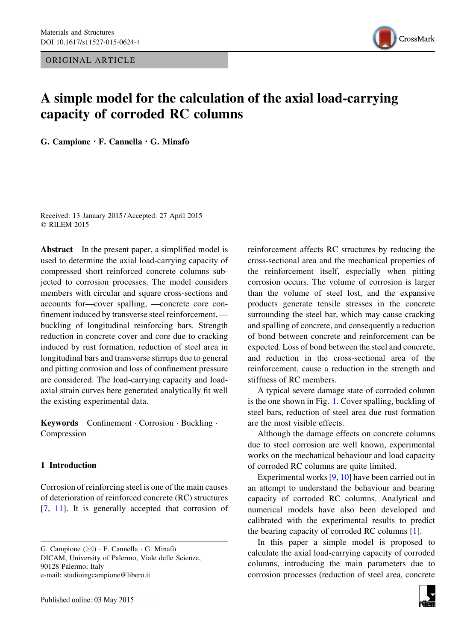ORIGINAL ARTICLE



# A simple model for the calculation of the axial load-carrying capacity of corroded RC columns

G. Campione  $\cdot$  F. Cannella  $\cdot$  G. Minafò

Received: 13 January 2015 / Accepted: 27 April 2015 © RILEM 2015

Abstract In the present paper, a simplified model is used to determine the axial load-carrying capacity of compressed short reinforced concrete columns subjected to corrosion processes. The model considers members with circular and square cross-sections and accounts for—cover spalling, —concrete core confinement induced by transverse steel reinforcement, buckling of longitudinal reinforcing bars. Strength reduction in concrete cover and core due to cracking induced by rust formation, reduction of steel area in longitudinal bars and transverse stirrups due to general and pitting corrosion and loss of confinement pressure are considered. The load-carrying capacity and loadaxial strain curves here generated analytically fit well the existing experimental data.

Keywords Confinement Corrosion · Buckling · Compression

# 1 Introduction

Corrosion of reinforcing steel is one of the main causes of deterioration of reinforced concrete (RC) structures [\[7](#page-10-0), [11\]](#page-10-0). It is generally accepted that corrosion of

G. Campione ( $\boxtimes$ ) · F. Cannella · G. Minafò DICAM, University of Palermo, Viale delle Scienze, 90128 Palermo, Italy e-mail: studioingcampione@libero.it

reinforcement affects RC structures by reducing the cross-sectional area and the mechanical properties of the reinforcement itself, especially when pitting corrosion occurs. The volume of corrosion is larger than the volume of steel lost, and the expansive products generate tensile stresses in the concrete surrounding the steel bar, which may cause cracking and spalling of concrete, and consequently a reduction of bond between concrete and reinforcement can be expected. Loss of bond between the steel and concrete, and reduction in the cross-sectional area of the reinforcement, cause a reduction in the strength and stiffness of RC members.

A typical severe damage state of corroded column is the one shown in Fig. [1](#page-1-0). Cover spalling, buckling of steel bars, reduction of steel area due rust formation are the most visible effects.

Although the damage effects on concrete columns due to steel corrosion are well known, experimental works on the mechanical behaviour and load capacity of corroded RC columns are quite limited.

Experimental works [[9,](#page-10-0) [10](#page-10-0)] have been carried out in an attempt to understand the behaviour and bearing capacity of corroded RC columns. Analytical and numerical models have also been developed and calibrated with the experimental results to predict the bearing capacity of corroded RC columns [[1\]](#page-10-0).

In this paper a simple model is proposed to calculate the axial load-carrying capacity of corroded columns, introducing the main parameters due to corrosion processes (reduction of steel area, concrete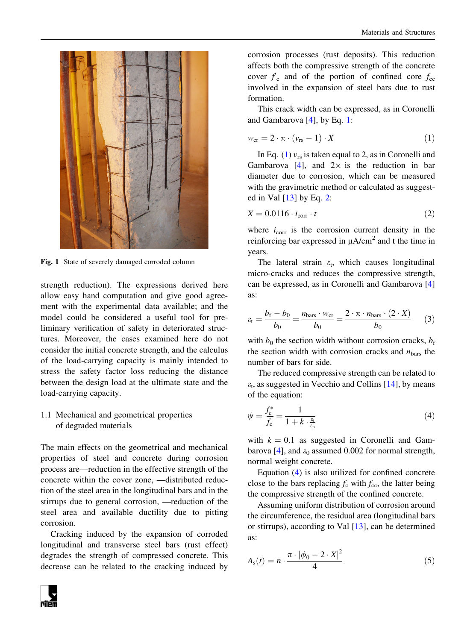<span id="page-1-0"></span>

Fig. 1 State of severely damaged corroded column

strength reduction). The expressions derived here allow easy hand computation and give good agreement with the experimental data available; and the model could be considered a useful tool for preliminary verification of safety in deteriorated structures. Moreover, the cases examined here do not consider the initial concrete strength, and the calculus of the load-carrying capacity is mainly intended to stress the safety factor loss reducing the distance between the design load at the ultimate state and the load-carrying capacity.

## 1.1 Mechanical and geometrical properties of degraded materials

The main effects on the geometrical and mechanical properties of steel and concrete during corrosion process are—reduction in the effective strength of the concrete within the cover zone, —distributed reduction of the steel area in the longitudinal bars and in the stirrups due to general corrosion, —reduction of the steel area and available ductility due to pitting corrosion.

Cracking induced by the expansion of corroded longitudinal and transverse steel bars (rust effect) degrades the strength of compressed concrete. This decrease can be related to the cracking induced by corrosion processes (rust deposits). This reduction affects both the compressive strength of the concrete cover  $f_c$  and of the portion of confined core  $f_{cc}$ involved in the expansion of steel bars due to rust formation.

This crack width can be expressed, as in Coronelli and Gambarova [[4\]](#page-10-0), by Eq. 1:

$$
w_{\rm cr} = 2 \cdot \pi \cdot (v_{\rm rs} - 1) \cdot X \tag{1}
$$

In Eq. (1)  $v_{rs}$  is taken equal to 2, as in Coronelli and Gambarova [[4\]](#page-10-0), and  $2 \times$  is the reduction in bar diameter due to corrosion, which can be measured with the gravimetric method or calculated as suggested in Val [\[13](#page-10-0)] by Eq. 2:

$$
X = 0.0116 \cdot i_{\text{corr}} \cdot t \tag{2}
$$

where  $i_{\text{corr}}$  is the corrosion current density in the reinforcing bar expressed in  $\mu A/cm^2$  and t the time in years.

The lateral strain  $\varepsilon_t$ , which causes longitudinal micro-cracks and reduces the compressive strength, can be expressed, as in Coronelli and Gambarova [\[4\]](#page-10-0) as:

$$
\varepsilon_{t} = \frac{b_{f} - b_{0}}{b_{0}} = \frac{n_{\text{bars}} \cdot w_{\text{cr}}}{b_{0}} = \frac{2 \cdot \pi \cdot n_{\text{bars}} \cdot (2 \cdot X)}{b_{0}} \tag{3}
$$

with  $b_0$  the section width without corrosion cracks,  $b_f$ the section width with corrosion cracks and  $n_{\text{bars}}$  the number of bars for side.

The reduced compressive strength can be related to  $\varepsilon_t$ , as suggested in Vecchio and Collins [\[14\]](#page-10-0), by means of the equation:

$$
\psi = \frac{f_c^*}{f_c} = \frac{1}{1 + k \cdot \frac{\varepsilon_t}{\varepsilon_o}}\tag{4}
$$

with  $k = 0.1$  as suggested in Coronelli and Gam-barova [[4\]](#page-10-0), and  $\varepsilon_0$  assumed 0.002 for normal strength, normal weight concrete.

Equation (4) is also utilized for confined concrete close to the bars replacing  $f_c$  with  $f_{cc}$ , the latter being the compressive strength of the confined concrete.

Assuming uniform distribution of corrosion around the circumference, the residual area (longitudinal bars or stirrups), according to Val [[13\]](#page-10-0), can be determined as:

$$
A_{\rm s}(t) = n \cdot \frac{\pi \cdot [\phi_0 - 2 \cdot X]^2}{4} \tag{5}
$$

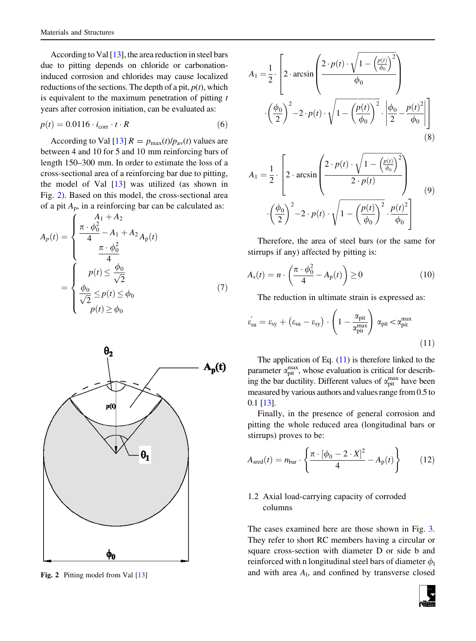<span id="page-2-0"></span>According to Val  $[13]$  $[13]$ , the area reduction in steel bars due to pitting depends on chloride or carbonationinduced corrosion and chlorides may cause localized reductions of the sections. The depth of a pit,  $p(t)$ , which is equivalent to the maximum penetration of pitting  $t$ years after corrosion initiation, can be evaluated as:

$$
p(t) = 0.0116 \cdot i_{\text{corr}} \cdot t \cdot R \tag{6}
$$

According to Val [\[13](#page-10-0)]  $R = p_{\text{max}}(t)/p_{\text{av}}(t)$  values are between 4 and 10 for 5 and 10 mm reinforcing bars of length 150–300 mm. In order to estimate the loss of a cross-sectional area of a reinforcing bar due to pitting, the model of Val [\[13](#page-10-0)] was utilized (as shown in Fig. 2). Based on this model, the cross-sectional area of a pit  $A_p$ , in a reinforcing bar can be calculated as:

$$
A_p(t) = \begin{cases} \frac{A_1 + A_2}{4} \\ \frac{\pi \cdot \phi_0^2 - A_1 + A_2}{4} A_p(t) \\ \frac{\pi \cdot \phi_0^2}{4} \\ \frac{\phi_0}{\sqrt{2}} \le p(t) \le \phi_0 \\ p(t) \ge \phi_0 \end{cases}
$$
(7)



$$
A_1 = \frac{1}{2} \cdot \left[ 2 \cdot \arcsin\left( \frac{2 \cdot p(t) \cdot \sqrt{1 - \left(\frac{p(t)}{\phi_0}\right)^2}}{\phi_0} \right) \cdot \left(\frac{\phi_0}{2}\right)^2 - 2 \cdot p(t) \cdot \sqrt{1 - \left(\frac{p(t)}{\phi_0}\right)^2} \cdot \left| \frac{\phi_0}{2} - \frac{p(t)^2}{\phi_0} \right| \right]
$$
\n(8)

$$
A_1 = \frac{1}{2} \cdot \left[ 2 \cdot \arcsin\left( \frac{2 \cdot p(t) \cdot \sqrt{1 - \left(\frac{p(t)}{\phi_0}\right)^2}}{2 \cdot p(t)} \right) \cdot \left(\frac{\phi_0}{2}\right)^2 - 2 \cdot p(t) \cdot \sqrt{1 - \left(\frac{p(t)}{\phi_0}\right)^2} \cdot \frac{p(t)^2}{\phi_0} \right]
$$
(9)

Therefore, the area of steel bars (or the same for stirrups if any) affected by pitting is:

$$
A_{\rm s}(t) = n \cdot \left(\frac{\pi \cdot \phi_0^2}{4} - A_{\rm p}(t)\right) \ge 0 \tag{10}
$$

The reduction in ultimate strain is expressed as:

$$
\varepsilon'_{su} = \varepsilon_{sy} + (\varepsilon_{su} - \varepsilon_{sy}) \cdot \left(1 - \frac{\alpha_{pit}}{\alpha_{pit}^{max}}\right) \alpha_{pit} < \alpha_{pit}^{max} \tag{11}
$$

The application of Eq.  $(11)$  is therefore linked to the parameter  $\alpha_{\rm pit}^{\rm max}$ , whose evaluation is critical for describing the bar ductility. Different values of  $\alpha_{\rm pit}^{\rm max}$  have been measured by various authors and values range from 0.5 to 0.1 [\[13\]](#page-10-0).

Finally, in the presence of general corrosion and pitting the whole reduced area (longitudinal bars or stirrups) proves to be:

$$
A_{\text{sred}}(t) = n_{\text{bar}} \cdot \left\{ \frac{\pi \cdot [\phi_0 - 2 \cdot X]^2}{4} - A_{\text{p}}(t) \right\} \tag{12}
$$

## 1.2 Axial load-carrying capacity of corroded columns

The cases examined here are those shown in Fig. [3.](#page-3-0) They refer to short RC members having a circular or square cross-section with diameter D or side b and reinforced with n longitudinal steel bars of diameter  $\phi_1$ Fig. 2 Pitting model from Val  $[13]$  and with area  $A_1$ , and confined by transverse closed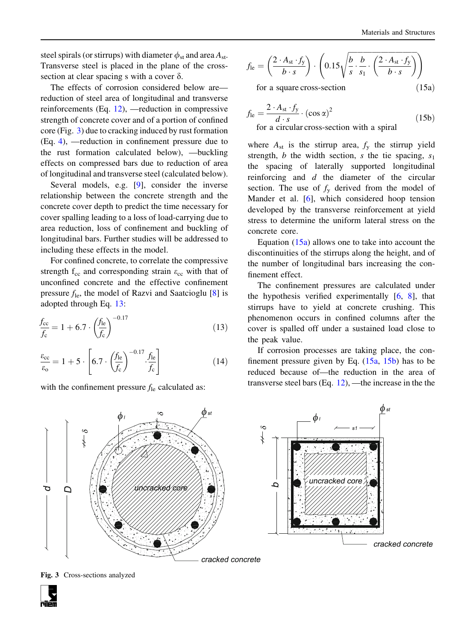<span id="page-3-0"></span>steel spirals (or stirrups) with diameter  $\phi_{st}$  and area  $A_{st}$ . Transverse steel is placed in the plane of the crosssection at clear spacing s with a cover  $\delta$ .

The effects of corrosion considered below are reduction of steel area of longitudinal and transverse reinforcements (Eq. [12](#page-2-0)), —reduction in compressive strength of concrete cover and of a portion of confined core (Fig. 3) due to cracking induced by rust formation (Eq. [4\)](#page-1-0), —reduction in confinement pressure due to the rust formation calculated below), —buckling effects on compressed bars due to reduction of area of longitudinal and transverse steel (calculated below).

Several models, e.g. [[9\]](#page-10-0), consider the inverse relationship between the concrete strength and the concrete cover depth to predict the time necessary for cover spalling leading to a loss of load-carrying due to area reduction, loss of confinement and buckling of longitudinal bars. Further studies will be addressed to including these effects in the model.

For confined concrete, to correlate the compressive strength  $f_{cc}$  and corresponding strain  $\varepsilon_{cc}$  with that of unconfined concrete and the effective confinement pressure  $f_{\text{le}}$ , the model of Razvi and Saatcioglu [\[8](#page-10-0)] is adopted through Eq. 13:

$$
\frac{f_{\rm cc}}{f_{\rm c}} = 1 + 6.7 \cdot \left(\frac{f_{\rm le}}{f_{\rm c}}\right)^{-0.17}
$$
\n(13)

$$
\frac{\varepsilon_{\rm cc}}{\varepsilon_{\rm o}} = 1 + 5 \cdot \left[ 6.7 \cdot \left( \frac{f_{\rm le}}{f_{\rm c}} \right)^{-0.17} \cdot \frac{f_{\rm le}}{f_{\rm c}} \right] \tag{14}
$$

with the confinement pressure  $f_{\text{le}}$  calculated as:

$$
f_{\rm le} = \left(\frac{2 \cdot A_{\rm st} \cdot f_{\rm y}}{b \cdot s}\right) \cdot \left(0.15 \sqrt{\frac{b}{s} \cdot \frac{b}{s_1} \cdot \left(\frac{2 \cdot A_{\rm st} \cdot f_{\rm y}}{b \cdot s}\right)}\right)
$$
  
for a square cross section (15a)

for a square cross-section  $(15a)$ 

$$
f_{\text{le}} = \frac{2 \cdot A_{\text{st}} \cdot f_{\text{y}}}{d \cdot s} \cdot (\cos \alpha)^{2}
$$
 for a circular cross-section with a spiral (15b)

where  $A_{st}$  is the stirrup area,  $f_y$  the stirrup yield strength, *b* the width section, *s* the tie spacing,  $s_1$ the spacing of laterally supported longitudinal reinforcing and d the diameter of the circular section. The use of  $f<sub>y</sub>$  derived from the model of Mander et al. [[6\]](#page-10-0), which considered hoop tension developed by the transverse reinforcement at yield stress to determine the uniform lateral stress on the concrete core.

Equation  $(15a)$  allows one to take into account the discontinuities of the stirrups along the height, and of the number of longitudinal bars increasing the confinement effect.

The confinement pressures are calculated under the hypothesis verified experimentally [[6,](#page-10-0) [8\]](#page-10-0), that stirrups have to yield at concrete crushing. This phenomenon occurs in confined columns after the cover is spalled off under a sustained load close to the peak value.

If corrosion processes are taking place, the confinement pressure given by Eq.  $(15a, 15b)$  has to be reduced because of—the reduction in the area of transverse steel bars (Eq. [12\)](#page-2-0), —the increase in the the



Fig. 3 Cross-sections analyzed

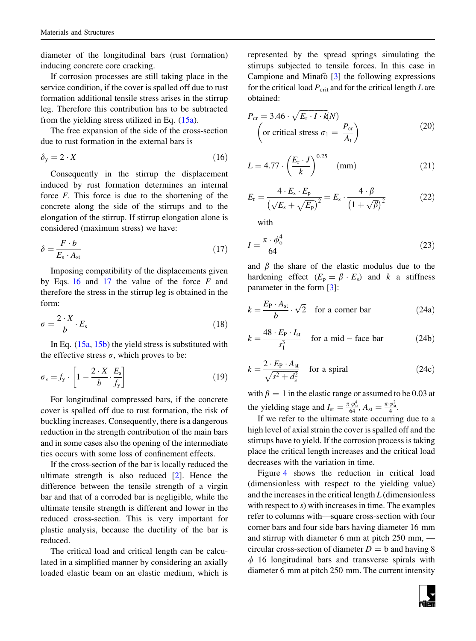diameter of the longitudinal bars (rust formation) inducing concrete core cracking.

If corrosion processes are still taking place in the service condition, if the cover is spalled off due to rust formation additional tensile stress arises in the stirrup leg. Therefore this contribution has to be subtracted from the yielding stress utilized in Eq. [\(15a\)](#page-3-0).

The free expansion of the side of the cross-section due to rust formation in the external bars is

$$
\delta_{y} = 2 \cdot X \tag{16}
$$

Consequently in the stirrup the displacement induced by rust formation determines an internal force  $F$ . This force is due to the shortening of the concrete along the side of the stirrups and to the elongation of the stirrup. If stirrup elongation alone is considered (maximum stress) we have:

$$
\delta = \frac{F \cdot b}{E_s \cdot A_{st}}\tag{17}
$$

Imposing compatibility of the displacements given by Eqs.  $16$  and  $17$  the value of the force  $F$  and therefore the stress in the stirrup leg is obtained in the form:

$$
\sigma = \frac{2 \cdot X}{b} \cdot E_{\rm s} \tag{18}
$$

In Eq. ([15a](#page-3-0), [15b](#page-3-0)) the yield stress is substituted with the effective stress  $\sigma$ , which proves to be:

$$
\sigma_{\rm s} = f_{\rm y} \cdot \left[ 1 - \frac{2 \cdot X}{b} \cdot \frac{E_{\rm s}}{f_{\rm y}} \right] \tag{19}
$$

For longitudinal compressed bars, if the concrete cover is spalled off due to rust formation, the risk of buckling increases. Consequently, there is a dangerous reduction in the strength contribution of the main bars and in some cases also the opening of the intermediate ties occurs with some loss of confinement effects.

If the cross-section of the bar is locally reduced the ultimate strength is also reduced [\[2](#page-10-0)]. Hence the difference between the tensile strength of a virgin bar and that of a corroded bar is negligible, while the ultimate tensile strength is different and lower in the reduced cross-section. This is very important for plastic analysis, because the ductility of the bar is reduced.

The critical load and critical length can be calculated in a simplified manner by considering an axially loaded elastic beam on an elastic medium, which is represented by the spread springs simulating the stirrups subjected to tensile forces. In this case in Campione and Minafò  $\lceil 3 \rceil$  the following expressions for the critical load  $P_{\text{crit}}$  and for the critical length L are obtained:

$$
P_{\rm cr} = 3.46 \cdot \sqrt{E_{\rm r} \cdot I \cdot k}(N) \qquad (20)
$$
\n
$$
\left(\text{or critical stress } \sigma_1 = \frac{P_{\rm cr}}{A_{\rm t}}\right)
$$

$$
L = 4.77 \cdot \left(\frac{E_{\rm r} \cdot J}{k}\right)^{0.25} \quad (\text{mm}) \tag{21}
$$

$$
E_{\rm r} = \frac{4 \cdot E_{\rm s} \cdot E_{\rm p}}{\left(\sqrt{E_{\rm s}} + \sqrt{E_{\rm p}}\right)^2} = E_{\rm s} \cdot \frac{4 \cdot \beta}{\left(1 + \sqrt{\beta}\right)^2} \tag{22}
$$

with

$$
I = \frac{\pi \cdot \phi_o^4}{64} \tag{23}
$$

and  $\beta$  the share of the elastic modulus due to the hardening effect  $(E_p = \beta \cdot E_s)$  and k a stiffness parameter in the form [\[3\]](#page-10-0):

$$
k = \frac{E_P \cdot A_{st}}{b} \cdot \sqrt{2} \quad \text{for a corner bar} \tag{24a}
$$

$$
k = \frac{48 \cdot E_P \cdot I_{\rm st}}{s_1^3} \quad \text{for a mid - face bar} \tag{24b}
$$

$$
k = \frac{2 \cdot E_{\rm P} \cdot A_{\rm st}}{\sqrt{s^2 + d_{\rm s}^2}}
$$
 for a spiral (24c)

with  $\beta = 1$  in the elastic range or assumed to be 0.03 at the yielding stage and  $I_{\rm st} = \frac{\pi \cdot \varphi_{\rm st}^4}{64}$ ,  $A_{\rm st} = \frac{\pi \cdot \varphi_{\rm st}^2}{4}$ .

If we refer to the ultimate state occurring due to a high level of axial strain the cover is spalled off and the stirrups have to yield. If the corrosion process is taking place the critical length increases and the critical load decreases with the variation in time.

Figure [4](#page-5-0) shows the reduction in critical load (dimensionless with respect to the yielding value) and the increases in the critical length  $L$  (dimensionless with respect to s) with increases in time. The examples refer to columns with—square cross-section with four corner bars and four side bars having diameter 16 mm and stirrup with diameter 6 mm at pitch 250 mm, circular cross-section of diameter  $D = b$  and having 8  $\phi$  16 longitudinal bars and transverse spirals with diameter 6 mm at pitch 250 mm. The current intensity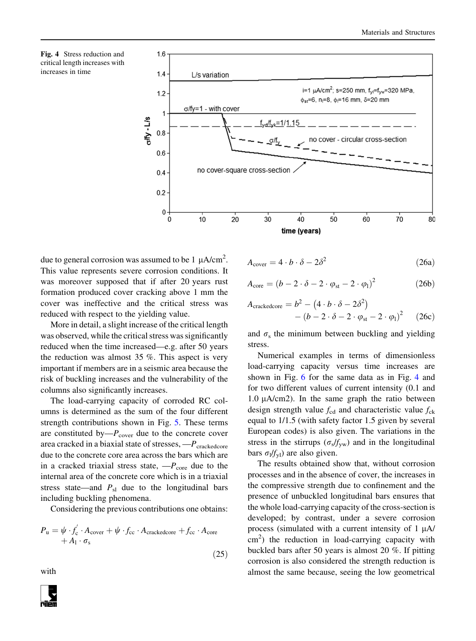<span id="page-5-0"></span>



due to general corrosion was assumed to be 1  $\mu$ A/cm<sup>2</sup>. This value represents severe corrosion conditions. It was moreover supposed that if after 20 years rust formation produced cover cracking above 1 mm the cover was ineffective and the critical stress was reduced with respect to the yielding value.

More in detail, a slight increase of the critical length was observed, while the critical stress was significantly reduced when the time increased—e.g. after 50 years the reduction was almost 35 %. This aspect is very important if members are in a seismic area because the risk of buckling increases and the vulnerability of the columns also significantly increases.

The load-carrying capacity of corroded RC columns is determined as the sum of the four different strength contributions shown in Fig. [5.](#page-6-0) These terms are constituted by— $P_{\text{cover}}$  due to the concrete cover area cracked in a biaxial state of stresses,  $-P_{\text{crackedcore}}$ due to the concrete core area across the bars which are in a cracked triaxial stress state,  $-P_{\text{core}}$  due to the internal area of the concrete core which is in a triaxial stress state—and  $P_{\rm sl}$  due to the longitudinal bars including buckling phenomena.

Considering the previous contributions one obtains:

 $(25)$ 

$$
P_{\rm u} = \psi \cdot f_{\rm c}' \cdot A_{\rm cover} + \psi \cdot f_{\rm cc} \cdot A_{\rm crackedcore} + f_{\rm cc} \cdot A_{\rm core} + A_{\rm 1} \cdot \sigma_{\rm s}
$$

with

$$
A_{\text{cover}} = 4 \cdot b \cdot \delta - 2\delta^2 \tag{26a}
$$

$$
A_{\text{core}} = (b - 2 \cdot \delta - 2 \cdot \varphi_{\text{st}} - 2 \cdot \varphi_1)^2 \tag{26b}
$$

$$
A_{\text{crackedcore}} = b^2 - (4 \cdot b \cdot \delta - 2\delta^2) - (b - 2 \cdot \delta - 2 \cdot \varphi_{\text{st}} - 2 \cdot \varphi_1)^2 \qquad (26c)
$$

and  $\sigma_s$  the minimum between buckling and yielding stress.

Numerical examples in terms of dimensionless load-carrying capacity versus time increases are shown in Fig. [6](#page-7-0) for the same data as in Fig. 4 and for two different values of current intensity (0.1 and 1.0  $\mu$ A/cm2). In the same graph the ratio between design strength value  $f_{cd}$  and characteristic value  $f_{ck}$ equal to 1/1.5 (with safety factor 1.5 given by several European codes) is also given. The variations in the stress in the stirrups ( $\sigma_s/f_{yw}$ ) and in the longitudinal bars  $\sigma_1/f_{\rm vl}$ ) are also given.

The results obtained show that, without corrosion processes and in the absence of cover, the increases in the compressive strength due to confinement and the presence of unbuckled longitudinal bars ensures that the whole load-carrying capacity of the cross-section is developed; by contrast, under a severe corrosion process (simulated with a current intensity of  $1 \mu A$ / cm<sup>2</sup>) the reduction in load-carrying capacity with buckled bars after 50 years is almost 20 %. If pitting corrosion is also considered the strength reduction is almost the same because, seeing the low geometrical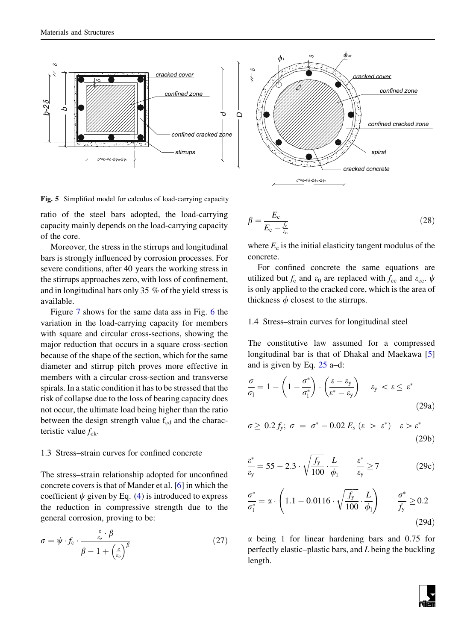<span id="page-6-0"></span>

Fig. 5 Simplified model for calculus of load-carrying capacity

ratio of the steel bars adopted, the load-carrying capacity mainly depends on the load-carrying capacity of the core.

Moreover, the stress in the stirrups and longitudinal bars is strongly influenced by corrosion processes. For severe conditions, after 40 years the working stress in the stirrups approaches zero, with loss of confinement, and in longitudinal bars only 35 % of the yield stress is available.

Figure [7](#page-8-0) shows for the same data ass in Fig. [6](#page-7-0) the variation in the load-carrying capacity for members with square and circular cross-sections, showing the major reduction that occurs in a square cross-section because of the shape of the section, which for the same diameter and stirrup pitch proves more effective in members with a circular cross-section and transverse spirals. In a static condition it has to be stressed that the risk of collapse due to the loss of bearing capacity does not occur, the ultimate load being higher than the ratio between the design strength value  $f_{cd}$  and the characteristic value  $f_{\rm ck}$ .

### 1.3 Stress–strain curves for confined concrete

The stress–strain relationship adopted for unconfined concrete covers is that of Mander et al. [[6\]](#page-10-0) in which the coefficient  $\psi$  given by Eq. [\(4](#page-1-0)) is introduced to express the reduction in compressive strength due to the general corrosion, proving to be:

$$
\sigma = \psi \cdot f_c \cdot \frac{\frac{\varepsilon}{\varepsilon_o} \cdot \beta}{\beta - 1 + \left(\frac{\varepsilon}{\varepsilon_o}\right)^{\beta}}
$$
(27)

$$
\beta = \frac{E_{\rm c}}{E_{\rm c} - \frac{f_{\rm c}}{\varepsilon_{\rm o}}} \tag{28}
$$

where  $E_c$  is the initial elasticity tangent modulus of the concrete.

For confined concrete the same equations are utilized but  $f_c$  and  $\varepsilon_0$  are replaced with  $f_{cc}$  and  $\varepsilon_{cc}$ .  $\psi$ is only applied to the cracked core, which is the area of thickness  $\phi$  closest to the stirrups.

#### 1.4 Stress–strain curves for longitudinal steel

The constitutive law assumed for a compressed longitudinal bar is that of Dhakal and Maekawa [\[5\]](#page-10-0) and is given by Eq. [25](#page-5-0) a–d:

$$
\frac{\sigma}{\sigma_{l}} = 1 - \left(1 - \frac{\sigma^{*}}{\sigma_{l}^{*}}\right) \cdot \left(\frac{\varepsilon - \varepsilon_{y}}{\varepsilon^{*} - \varepsilon_{y}}\right) \quad \varepsilon_{y} < \varepsilon \leq \varepsilon^{*} \tag{29a}
$$

$$
\sigma \geq 0.2 f_y; \ \sigma = \sigma^* - 0.02 E_s \ (\varepsilon > \varepsilon^*) \quad \varepsilon > \varepsilon^* \tag{29b}
$$

$$
\frac{\varepsilon^*}{\varepsilon_y} = 55 - 2.3 \cdot \sqrt{\frac{f_y}{100}} \cdot \frac{L}{\phi_1} \qquad \frac{\varepsilon^*}{\varepsilon_y} \ge 7 \tag{29c}
$$

$$
\frac{\sigma^*}{\sigma_1^*} = \alpha \cdot \left(1.1 - 0.0116 \cdot \sqrt{\frac{f_y}{100}} \cdot \frac{L}{\phi_1}\right) \qquad \frac{\sigma^*}{f_y} \ge 0.2
$$
\n(29d)

 $\alpha$  being 1 for linear hardening bars and 0.75 for perfectly elastic–plastic bars, and L being the buckling length.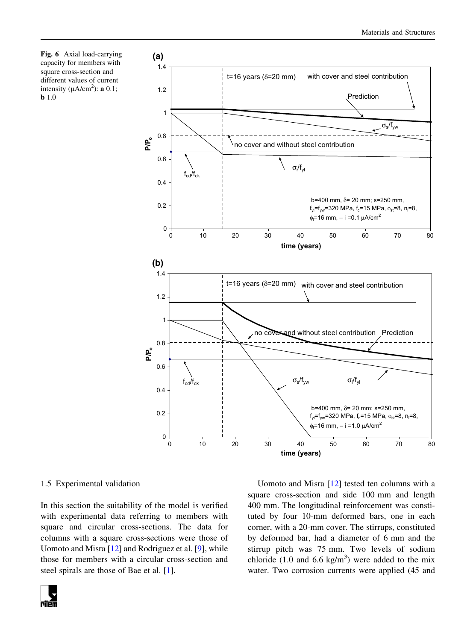<span id="page-7-0"></span>Fig. 6 Axial load-carrying capacity for members with square cross-section and different values of current intensity ( $\mu A/cm^2$ ): **a** 0.1; **b** 1.0



#### 1.5 Experimental validation

In this section the suitability of the model is verified with experimental data referring to members with square and circular cross-sections. The data for columns with a square cross-sections were those of Uomoto and Misra [[12\]](#page-10-0) and Rodriguez et al. [\[9](#page-10-0)], while those for members with a circular cross-section and steel spirals are those of Bae et al. [\[1](#page-10-0)].

Uomoto and Misra [[12](#page-10-0)] tested ten columns with a square cross-section and side 100 mm and length 400 mm. The longitudinal reinforcement was constituted by four 10-mm deformed bars, one in each corner, with a 20-mm cover. The stirrups, constituted by deformed bar, had a diameter of 6 mm and the stirrup pitch was 75 mm. Two levels of sodium chloride  $(1.0 \text{ and } 6.6 \text{ kg/m}^3)$  were added to the mix water. Two corrosion currents were applied (45 and

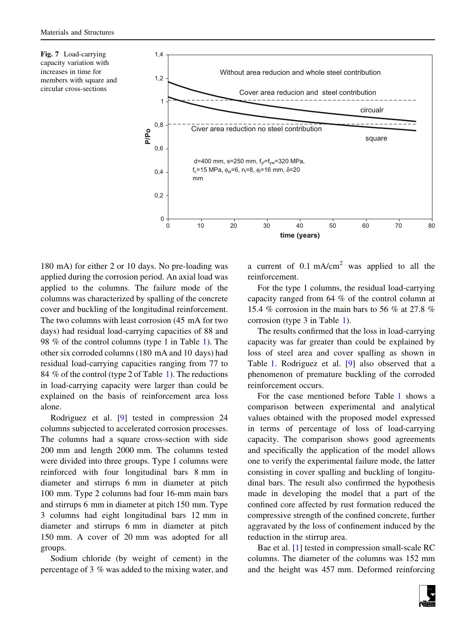<span id="page-8-0"></span>



180 mA) for either 2 or 10 days. No pre-loading was applied during the corrosion period. An axial load was applied to the columns. The failure mode of the columns was characterized by spalling of the concrete cover and buckling of the longitudinal reinforcement. The two columns with least corrosion (45 mA for two days) had residual load-carrying capacities of 88 and 98 % of the control columns (type 1 in Table [1\)](#page-9-0). The other six corroded columns (180 mA and 10 days) had residual load-carrying capacities ranging from 77 to 84 % of the control (type 2 of Table [1](#page-9-0)). The reductions in load-carrying capacity were larger than could be explained on the basis of reinforcement area loss alone.

Rodriguez et al. [\[9](#page-10-0)] tested in compression 24 columns subjected to accelerated corrosion processes. The columns had a square cross-section with side 200 mm and length 2000 mm. The columns tested were divided into three groups. Type 1 columns were reinforced with four longitudinal bars 8 mm in diameter and stirrups 6 mm in diameter at pitch 100 mm. Type 2 columns had four 16-mm main bars and stirrups 6 mm in diameter at pitch 150 mm. Type 3 columns had eight longitudinal bars 12 mm in diameter and stirrups 6 mm in diameter at pitch 150 mm. A cover of 20 mm was adopted for all groups.

Sodium chloride (by weight of cement) in the percentage of 3 % was added to the mixing water, and a current of  $0.1 \text{ mA/cm}^2$  was applied to all the reinforcement.

For the type 1 columns, the residual load-carrying capacity ranged from 64 % of the control column at 15.4 % corrosion in the main bars to 56 % at 27.8 % corrosion (type 3 in Table [1](#page-9-0)).

The results confirmed that the loss in load-carrying capacity was far greater than could be explained by loss of steel area and cover spalling as shown in Table [1](#page-9-0). Rodriguez et al. [\[9](#page-10-0)] also observed that a phenomenon of premature buckling of the corroded reinforcement occurs.

For the case mentioned before Table [1](#page-9-0) shows a comparison between experimental and analytical values obtained with the proposed model expressed in terms of percentage of loss of load-carrying capacity. The comparison shows good agreements and specifically the application of the model allows one to verify the experimental failure mode, the latter consisting in cover spalling and buckling of longitudinal bars. The result also confirmed the hypothesis made in developing the model that a part of the confined core affected by rust formation reduced the compressive strength of the confined concrete, further aggravated by the loss of confinement induced by the reduction in the stirrup area.

Bae et al. [[1\]](#page-10-0) tested in compression small-scale RC columns. The diameter of the columns was 152 mm and the height was 457 mm. Deformed reinforcing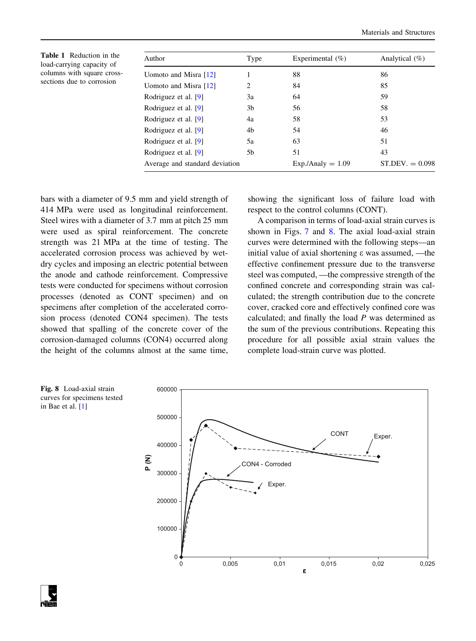<span id="page-9-0"></span>Table 1 Reduction in the load-carrying capacity of columns with square crosssections due to corrosion

| Author                         | Type           | Experimental $(\%)$ | Analytical $(\%)$ |
|--------------------------------|----------------|---------------------|-------------------|
| Uomoto and Misra [12]          |                | 88                  | 86                |
| Uomoto and Misra [12]          | $\mathfrak{D}$ | 84                  | 85                |
| Rodriguez et al. [9]           | 3a             | 64                  | 59                |
| Rodriguez et al. [9]           | 3 <sub>b</sub> | 56                  | 58                |
| Rodriguez et al. [9]           | 4a             | 58                  | 53                |
| Rodriguez et al. [9]           | 4b             | 54                  | 46                |
| Rodriguez et al. [9]           | 5a             | 63                  | 51                |
| Rodriguez et al. [9]           | 5b             | 51                  | 43                |
| Average and standard deviation |                | $Exp./Analy = 1.09$ | $ST.DEV. = 0.098$ |

bars with a diameter of 9.5 mm and yield strength of 414 MPa were used as longitudinal reinforcement. Steel wires with a diameter of 3.7 mm at pitch 25 mm were used as spiral reinforcement. The concrete strength was 21 MPa at the time of testing. The accelerated corrosion process was achieved by wetdry cycles and imposing an electric potential between the anode and cathode reinforcement. Compressive tests were conducted for specimens without corrosion processes (denoted as CONT specimen) and on specimens after completion of the accelerated corrosion process (denoted CON4 specimen). The tests showed that spalling of the concrete cover of the corrosion-damaged columns (CON4) occurred along the height of the columns almost at the same time, showing the significant loss of failure load with respect to the control columns (CONT).

A comparison in terms of load-axial strain curves is shown in Figs. [7](#page-8-0) and 8. The axial load-axial strain curves were determined with the following steps—an initial value of axial shortening e was assumed, —the effective confinement pressure due to the transverse steel was computed, —the compressive strength of the confined concrete and corresponding strain was calculated; the strength contribution due to the concrete cover, cracked core and effectively confined core was calculated; and finally the load  $P$  was determined as the sum of the previous contributions. Repeating this procedure for all possible axial strain values the complete load-strain curve was plotted.